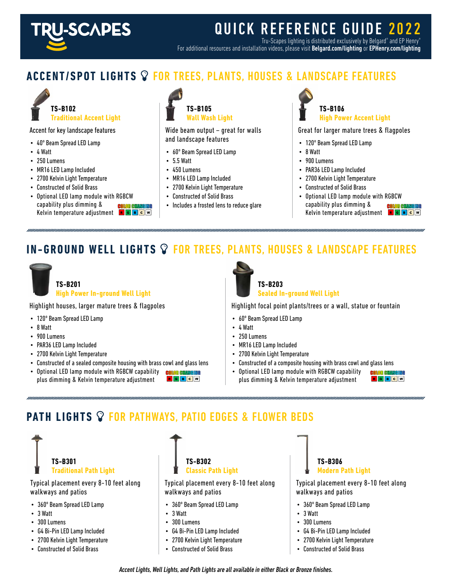

# QUICK REFERENCE GUIDE 2022

Tru-Scapes lighting is distributed exclusively by Belgard® and EP Henry® For additional resources and installation videos, please visit Belgard.com/lighting or EPHenry.com/lighting

#### **ACCENT/SPOT LIGHTS** FOR TREES, PLANTS, HOUSES & LANDSCAPE FEATURES



#### Accent for key landscape features

- 40º Beam Spread LED Lamp
- 4 Watt
- 250 Lumens
- MR16 LED Lamp Included
- 2700 Kelvin Light Temperature
- Constructed of Solid Brass
- Optional LED lamp module with RGBCW capability plus dimming & **COLOR GUARD** Kelvin temperature adjustment **RGBCW**



Wide beam output – great for walls and landscape features

- 60º Beam Spread LED Lamp
- 5.5 Watt
- 450 Lumens
- MR16 LED Lamp Included
- 2700 Kelvin Light Temperature
- Constructed of Solid Brass
- Includes a frosted lens to reduce glare



Great for larger mature trees & flagpoles

- 120º Beam Spread LED Lamp
- 8 Watt
- 900 Lumens
- PAR36 LED Lamp Included
- 2700 Kelvin Light Temperature
- Constructed of Solid Brass
- Optional LED lamp module with RGBCW capability plus dimming & **COLOB GAM** Kelvin temperature adjustment **RGBCW**

### **IN-GROUND WELL LIGHTS** FOR TREES, PLANTS, HOUSES & LANDSCAPE FEATURES



**High Power In-ground Well Light**

Highlight houses, larger mature trees & flagpoles

- 120º Beam Spread LED Lamp
- 8 Watt
- 900 Lumens
- PAR36 LED Lamp Included
- 2700 Kelvin Light Temperature
- Constructed of a sealed composite housing with brass cowl and glass lens
- Optional LED lamp module with RGBCW capability **color examely of** RGBCW plus dimming & Kelvin temperature adjustment



**Sealed In-ground Well Light**

Highlight focal point plants/trees or a wall, statue or fountain

- 60º Beam Spread LED Lamp
- 4 Watt
- 250 Lumens
- MR16 LED Lamp Included
- 2700 Kelvin Light Temperature
- Constructed of a composite housing with brass cowl and glass lens
- Optional LED lamp module with RGBCW capability plus dimming & Kelvin temperature adjustment

**COLOR GIVA** RGBCW

#### **PATH LIGHTS <sup>o</sup> FOR PATHWAYS, PATIO EDGES & FLOWER BEDS**



Typical placement every 8-10 feet along walkways and patios

- 360º Beam Spread LED Lamp
- 3 Watt
- 300 Lumens
- G4 Bi-Pin LED Lamp Included
- 2700 Kelvin Light Temperature
- Constructed of Solid Brass

**TS-B302 Classic Path Light**

Typical placement every 8-10 feet along walkways and patios

- 360º Beam Spread LED Lamp
- 3 Watt
- 300 Lumens
- G4 Bi-Pin LED Lamp Included
- 2700 Kelvin Light Temperature
- Constructed of Solid Brass



Typical placement every 8-10 feet along walkways and patios

- 360º Beam Spread LED Lamp
- 3 Watt
- 300 Lumens
- G4 Bi-Pin LED Lamp Included
- 2700 Kelvin Light Temperature
- Constructed of Solid Brass

Accent Lights, Well Lights, and Path Lights are all available in either Black or Bronze finishes.

**TS-B201**